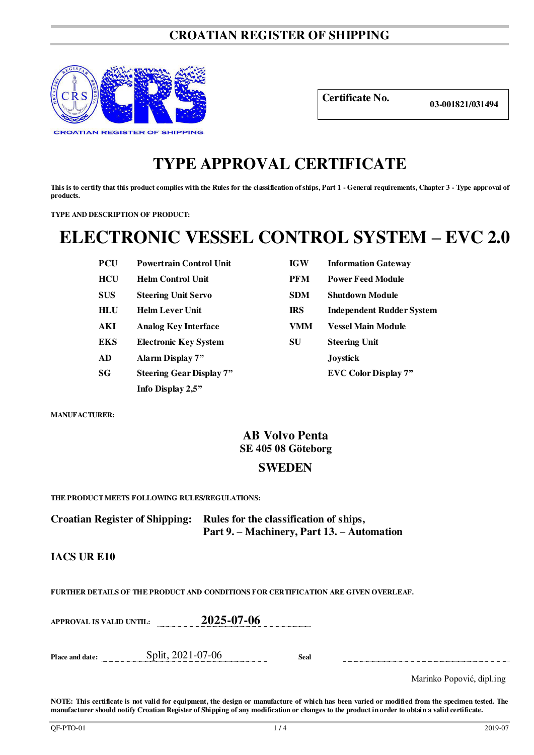## **CROATIAN REGISTER OF SHIPPING**



**Certificate No. 03-001821/031494**

## **TYPE APPROVAL CERTIFICATE**

**This is to certify that this product complies with the Rules for the classification of ships, Part 1 - General requirements, Chapter 3 - Type approval of products.** 

**TYPE AND DESCRIPTION OF PRODUCT:** 

# **ELECTRONIC VESSEL CONTROL SYSTEM – EVC 2.0**

| PUU        | Powertrain Control Unit         | 1G W       | <b>Information Gateway</b>  |
|------------|---------------------------------|------------|-----------------------------|
| <b>HCU</b> | <b>Helm Control Unit</b>        | <b>PFM</b> | <b>Power Feed Module</b>    |
| <b>SUS</b> | <b>Steering Unit Servo</b>      | <b>SDM</b> | <b>Shutdown Module</b>      |
| <b>HLU</b> | <b>Helm Lever Unit</b>          | <b>IRS</b> | <b>Independent Rudder S</b> |
| AKI        | <b>Analog Key Interface</b>     | VMM        | <b>Vessel Main Module</b>   |
| <b>EKS</b> | <b>Electronic Key System</b>    | SU         | <b>Steering Unit</b>        |
| AD         | Alarm Display 7"                |            | <b>Joystick</b>             |
| SG         | <b>Steering Gear Display 7"</b> |            | <b>EVC Color Display 7"</b> |
|            | Info Display 2,5"               |            |                             |

| PCU | <b>Powertrain Control Unit</b>  | <b>IGW</b> | <b>Information Gateway</b>       |
|-----|---------------------------------|------------|----------------------------------|
| HCU | <b>Helm Control Unit</b>        | <b>PFM</b> | <b>Power Feed Module</b>         |
| SUS | <b>Steering Unit Servo</b>      | <b>SDM</b> | <b>Shutdown Module</b>           |
| HLU | <b>Helm Lever Unit</b>          | <b>IRS</b> | <b>Independent Rudder System</b> |
| AKI | <b>Analog Key Interface</b>     | VMM        | <b>Vessel Main Module</b>        |
| EKS | <b>Electronic Key System</b>    | SU         | <b>Steering Unit</b>             |
| AD  | Alarm Display 7"                |            | <b>Joystick</b>                  |
| SG  | <b>Steering Gear Display 7"</b> |            | <b>EVC Color Display 7"</b>      |
|     |                                 |            |                                  |

**MANUFACTURER:**

## **AB Volvo Penta SE 405 08 Göteborg**

## **SWEDEN**

**THE PRODUCT MEETS FOLLOWING RULES/REGULATIONS:**

**Croatian Register of Shipping: Rules for the classification of ships, Part 9. – Machinery, Part 13. – Automation** 

### **IACS UR E10**

**FURTHER DETAILS OF THE PRODUCT AND CONDITIONS FOR CERTIFICATION ARE GIVEN OVERLEAF.**

**APPROVAL IS VALID UNTIL: 2025-07-06** 

**Place and date:** Split, 2021-07-06 **Seal** 

Marinko Popović, dipl.ing

**NOTE: This certificate is not valid for equipment, the design or manufacture of which has been varied or modified from the specimen tested. The manufacturer should notify Croatian Register of Shipping of any modification or changes to the product in order to obtain a valid certificate.**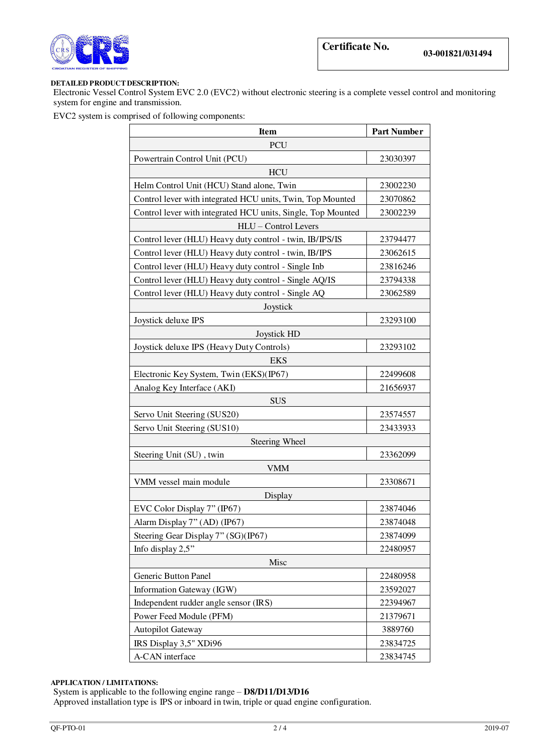

#### **DETAILED PRODUCT DESCRIPTION:**

Electronic Vessel Control System EVC 2.0 (EVC2) without electronic steering is a complete vessel control and monitoring system for engine and transmission.

EVC2 system is comprised of following components:

| <b>Item</b>                                                  | <b>Part Number</b> |  |  |  |  |
|--------------------------------------------------------------|--------------------|--|--|--|--|
| <b>PCU</b>                                                   |                    |  |  |  |  |
| Powertrain Control Unit (PCU)                                | 23030397           |  |  |  |  |
| <b>HCU</b>                                                   |                    |  |  |  |  |
| Helm Control Unit (HCU) Stand alone, Twin                    | 23002230           |  |  |  |  |
| Control lever with integrated HCU units, Twin, Top Mounted   | 23070862           |  |  |  |  |
| Control lever with integrated HCU units, Single, Top Mounted | 23002239           |  |  |  |  |
| HLU - Control Levers                                         |                    |  |  |  |  |
| Control lever (HLU) Heavy duty control - twin, IB/IPS/IS     | 23794477           |  |  |  |  |
| Control lever (HLU) Heavy duty control - twin, IB/IPS        | 23062615           |  |  |  |  |
| Control lever (HLU) Heavy duty control - Single Inb          | 23816246           |  |  |  |  |
| Control lever (HLU) Heavy duty control - Single AQ/IS        | 23794338           |  |  |  |  |
| Control lever (HLU) Heavy duty control - Single AQ           | 23062589           |  |  |  |  |
| Joystick                                                     |                    |  |  |  |  |
| Joystick deluxe IPS                                          | 23293100           |  |  |  |  |
| Joystick HD                                                  |                    |  |  |  |  |
| Joystick deluxe IPS (Heavy Duty Controls)                    | 23293102           |  |  |  |  |
| <b>EKS</b>                                                   |                    |  |  |  |  |
| Electronic Key System, Twin (EKS)(IP67)                      | 22499608           |  |  |  |  |
| Analog Key Interface (AKI)                                   | 21656937           |  |  |  |  |
| <b>SUS</b>                                                   |                    |  |  |  |  |
| Servo Unit Steering (SUS20)                                  | 23574557           |  |  |  |  |
| Servo Unit Steering (SUS10)                                  | 23433933           |  |  |  |  |
| <b>Steering Wheel</b>                                        |                    |  |  |  |  |
| Steering Unit (SU), twin                                     | 23362099           |  |  |  |  |
| <b>VMM</b>                                                   |                    |  |  |  |  |
| VMM vessel main module                                       | 23308671           |  |  |  |  |
| Display                                                      |                    |  |  |  |  |
| EVC Color Display 7" (IP67)                                  | 23874046           |  |  |  |  |
| Alarm Display 7" (AD) (IP67)                                 | 23874048           |  |  |  |  |
| Steering Gear Display 7" (SG)(IP67)                          | 23874099           |  |  |  |  |
| Info display 2,5"                                            | 22480957           |  |  |  |  |
| Misc                                                         |                    |  |  |  |  |
| Generic Button Panel                                         | 22480958           |  |  |  |  |
| Information Gateway (IGW)                                    | 23592027           |  |  |  |  |
| Independent rudder angle sensor (IRS)                        | 22394967           |  |  |  |  |
| Power Feed Module (PFM)                                      | 21379671           |  |  |  |  |
| Autopilot Gateway                                            | 3889760            |  |  |  |  |
| IRS Display 3,5" XDi96                                       | 23834725           |  |  |  |  |
| A-CAN interface                                              | 23834745           |  |  |  |  |

#### **APPLICATION / LIMITATIONS:**

System is applicable to the following engine range – **D8/D11/D13/D16** 

Approved installation type is IPS or inboard in twin, triple or quad engine configuration.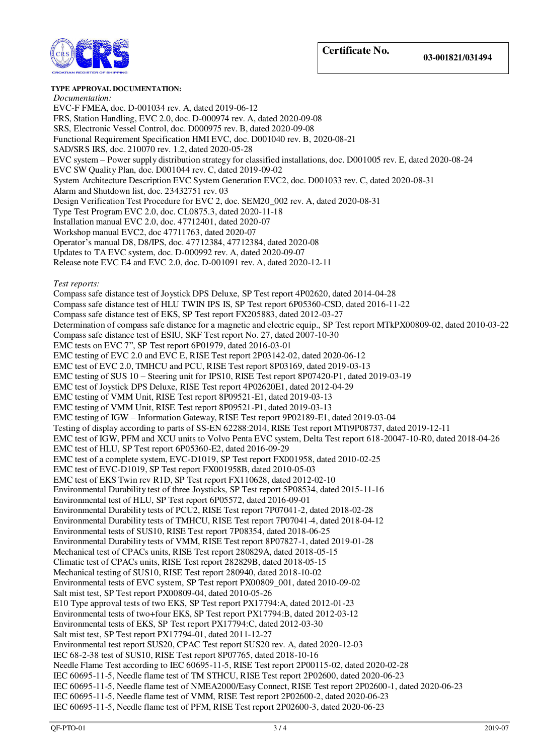

#### **TYPE APPROVAL DOCUMENTATION:**

*Documentation:*  EVC-F FMEA, doc. D-001034 rev. A, dated 2019-06-12 FRS, Station Handling, EVC 2.0, doc. D-000974 rev. A, dated 2020-09-08 SRS, Electronic Vessel Control, doc. D000975 rev. B, dated 2020-09-08 Functional Requirement Specification HMI EVC, doc. D001040 rev. B, 2020-08-21 SAD/SRS IRS, doc. 210070 rev. 1.2, dated 2020-05-28 EVC system – Power supply distribution strategy for classified installations, doc. D001005 rev. E, dated 2020-08-24 EVC SW Quality Plan, doc. D001044 rev. C, dated 2019-09-02 System Architecture Description EVC System Generation EVC2, doc. D001033 rev. C, dated 2020-08-31 Alarm and Shutdown list, doc. 23432751 rev. 03 Design Verification Test Procedure for EVC 2, doc. SEM20\_002 rev. A, dated 2020-08-31 Type Test Program EVC 2.0, doc. CL0875.3, dated 2020-11-18 Installation manual EVC 2.0, doc. 47712401, dated 2020-07 Workshop manual EVC2, doc 47711763, dated 2020-07 Operator's manual D8, D8/IPS, doc. 47712384, 47712384, dated 2020-08 Updates to TA EVC system, doc. D-000992 rev. A, dated 2020-09-07 Release note EVC E4 and EVC 2.0, doc. D-001091 rev. A, dated 2020-12-11 *Test reports:*  Compass safe distance test of Joystick DPS Deluxe, SP Test report 4P02620, dated 2014-04-28 Compass safe distance test of HLU TWIN IPS IS, SP Test report 6P05360-CSD, dated 2016-11-22 Compass safe distance test of EKS, SP Test report FX205883, dated 2012-03-27 Determination of compass safe distance for a magnetic and electric equip., SP Test report MTkPX00809-02, dated 2010-03-22 Compass safe distance test of ESIU, SKF Test report No. 27, dated 2007-10-30 EMC tests on EVC 7", SP Test report 6P01979, dated 2016-03-01 EMC testing of EVC 2.0 and EVC E, RISE Test report 2P03142-02, dated 2020-06-12 EMC test of EVC 2.0, TMHCU and PCU, RISE Test report 8P03169, dated 2019-03-13 EMC testing of SUS 10 – Steering unit for IPS10, RISE Test report 8P07420-P1, dated 2019-03-19 EMC test of Joystick DPS Deluxe, RISE Test report 4P02620E1, dated 2012-04-29 EMC testing of VMM Unit, RISE Test report 8P09521-E1, dated 2019-03-13 EMC testing of VMM Unit, RISE Test report 8P09521-P1, dated 2019-03-13 EMC testing of IGW – Information Gateway, RISE Test report 9P02189-E1, dated 2019-03-04 Testing of display according to parts of SS-EN 62288:2014, RISE Test report MTt9P08737, dated 2019-12-11 EMC test of IGW, PFM and XCU units to Volvo Penta EVC system, Delta Test report 618-20047-10-R0, dated 2018-04-26 EMC test of HLU, SP Test report 6P05360-E2, dated 2016-09-29 EMC test of a complete system, EVC-D1019, SP Test report FX001958, dated 2010-02-25 EMC test of EVC-D1019, SP Test report FX001958B, dated 2010-05-03 EMC test of EKS Twin rev R1D, SP Test report FX110628, dated 2012-02-10 Environmental Durability test of three Joysticks, SP Test report 5P08534, dated 2015-11-16 Environmental test of HLU, SP Test report 6P05572, dated 2016-09-01 Environmental Durability tests of PCU2, RISE Test report 7P07041-2, dated 2018-02-28 Environmental Durability tests of TMHCU, RISE Test report 7P07041-4, dated 2018-04-12 Environmental tests of SUS10, RISE Test report 7P08354, dated 2018-06-25 Environmental Durability tests of VMM, RISE Test report 8P07827-1, dated 2019-01-28 Mechanical test of CPACs units, RISE Test report 280829A, dated 2018-05-15 Climatic test of CPACs units, RISE Test report 282829B, dated 2018-05-15 Mechanical testing of SUS10, RISE Test report 280940, dated 2018-10-02 Environmental tests of EVC system, SP Test report PX00809\_001, dated 2010-09-02 Salt mist test, SP Test report PX00809-04, dated 2010-05-26 E10 Type approval tests of two EKS, SP Test report PX17794:A, dated 2012-01-23 Environmental tests of two+four EKS, SP Test report PX17794:B, dated 2012-03-12 Environmental tests of EKS, SP Test report PX17794:C, dated 2012-03-30 Salt mist test, SP Test report PX17794-01, dated 2011-12-27 Environmental test report SUS20, CPAC Test report SUS20 rev. A, dated 2020-12-03 IEC 68-2-38 test of SUS10, RISE Test report 8P07765, dated 2018-10-16 Needle Flame Test according to IEC 60695-11-5, RISE Test report 2P00115-02, dated 2020-02-28 IEC 60695-11-5, Needle flame test of TM STHCU, RISE Test report 2P02600, dated 2020-06-23 IEC 60695-11-5, Needle flame test of NMEA2000/Easy Connect, RISE Test report 2P02600-1, dated 2020-06-23 IEC 60695-11-5, Needle flame test of VMM, RISE Test report 2P02600-2, dated 2020-06-23 IEC 60695-11-5, Needle flame test of PFM, RISE Test report 2P02600-3, dated 2020-06-23